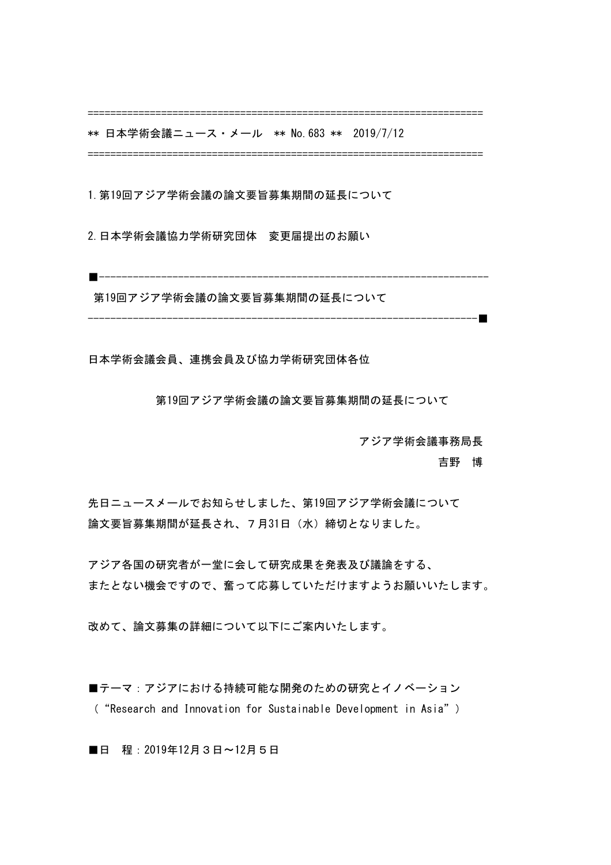======================================================================

\*\* 日本学術会議ニュース・メール \*\* No. 683 \*\* 2019/7/12

======================================================================

1.第19回アジア学術会議の論文要旨募集期間の延長について

2.日本学術会議協力学術研究団体 変更届提出のお願い

■---------------------------------------------------------------------

第19回アジア学術会議の論文要旨募集期間の延長について

---------------------------------------------------------------------■

日本学術会議会員、連携会員及び協力学術研究団体各位

 第19回アジア学術会議の論文要旨募集期間の延長について

 アジア学術会議事務局長

 吉野 博

先日ニュースメールでお知らせしました、第19回アジア学術会議について 論文要旨募集期間が延長され、7月31日(水)締切となりました。

アジア各国の研究者が一堂に会して研究成果を発表及び議論をする、 またとない機会ですので、奮って応募していただけますようお願いいたします。

改めて、論文募集の詳細について以下にご案内いたします。

■テーマ:アジアにおける持続可能な開発のための研究とイノベーション ( "Research and Innovation for Sustainable Development in Asia")

■日 程: 2019年12月3日〜12月5日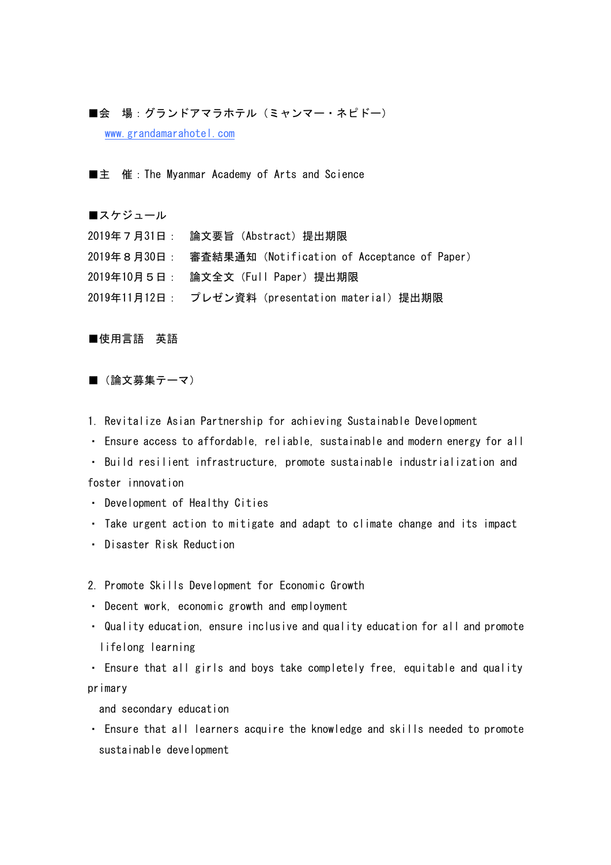## ■会 場:グランドアマラホテル (ミャンマー・ネピドー)

www.grandamarahotel.com

■主 催:The Myanmar Academy of Arts and Science

■スケジュール

2019年7月31日: 論文要旨(Abstract)提出期限 2019年8月30日: 審査結果通知(Notification of Acceptance of Paper) 2019年10月5日: 論文全文(Full Paper)提出期限 2019年11月12日: プレゼン資料 (presentation material) 提出期限

■使用言語 英語

■ (論文募集テーマ)

1. Revitalize Asian Partnership for achieving Sustainable Development

• Ensure access to affordable, reliable, sustainable and modern energy for all

• Build resilient infrastructure, promote sustainable industrialization and foster innovation

• Development of Healthy Cities

• Take urgent action to mitigate and adapt to climate change and its impact

・ Disaster Risk Reduction

2. Promote Skills Development for Economic Growth

• Decent work, economic growth and employment

• Quality education, ensure inclusive and quality education for all and promote lifelong learning

• Ensure that all girls and boys take completely free, equitable and quality primary

and secondary education

• Ensure that all learners acquire the knowledge and skills needed to promote sustainable development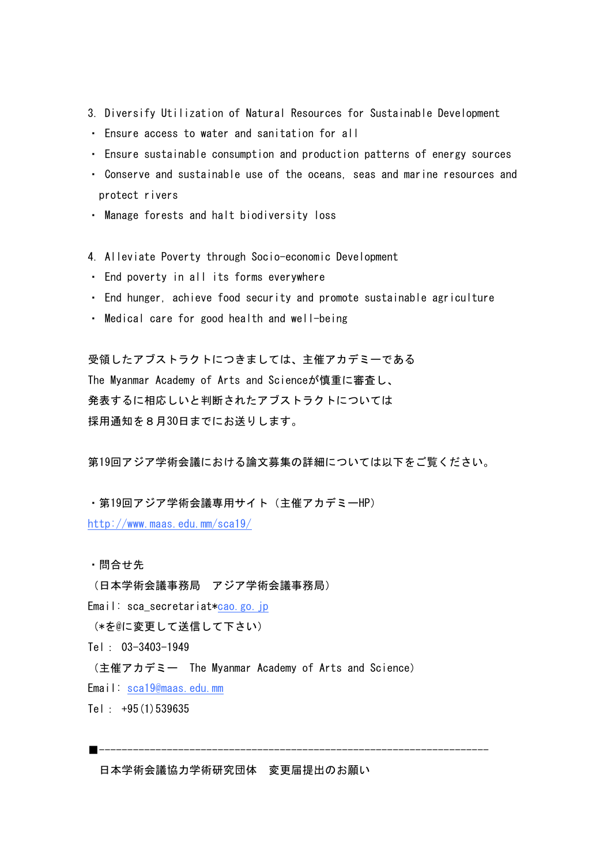- 3. Diversify Utilization of Natural Resources for Sustainable Development
- ・ Ensure access to water and sanitation for all
- Ensure sustainable consumption and production patterns of energy sources
- Conserve and sustainable use of the oceans, seas and marine resources and protect rivers
- ・ Manage forests and halt biodiversity loss
- 4. Alleviate Poverty through Socio-economic Development
- ・ End poverty in all its forms everywhere
- End hunger, achieve food security and promote sustainable agriculture
- Medical care for good health and well-being

受領したアブストラクトにつきましては、主催アカデミーである The Myanmar Academy of Arts and Scienceが慎重に審査し、 発表するに相応しいと判断されたアブストラクトについては 採用通知を8月30日までにお送りします。

第19回アジア学術会議における論文募集の詳細については以下をご覧ください。

・第19回アジア学術会議専用サイト(主催アカデミーHP) http://www.maas.edu.mm/sca19/

・問合せ先

(日本学術会議事務局 アジア学術会議事務局)

Email: sca\_secretariat\*cao.go.jp

(\*を@に変更して送信して下さい)

Tel: 03-3403-1949

(主催アカデミー The Myanmar Academy of Arts and Science)

Email: sca19@maas.edu.mm

Tel: +95(1)539635

■---------------------------------------------------------------------

日本学術会議協力学術研究団体 変更届提出のお願い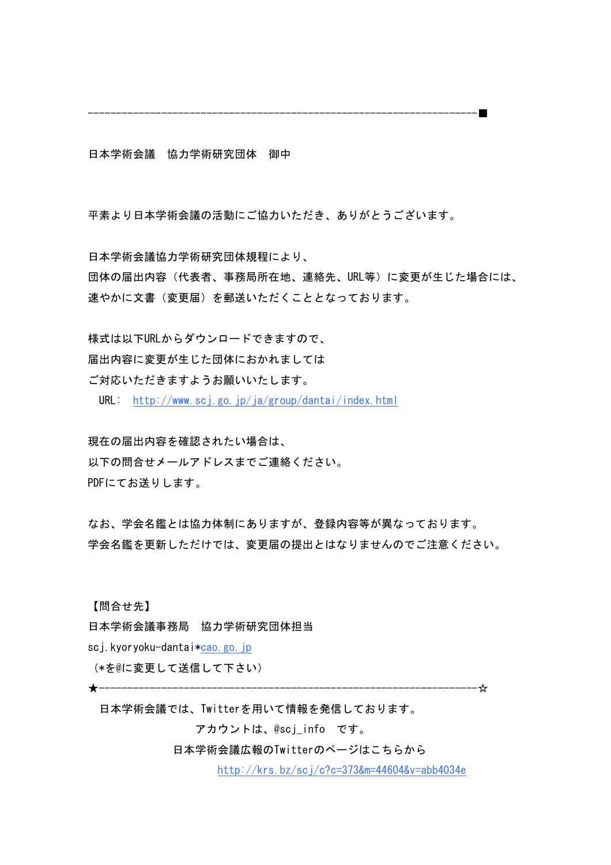---------------------------------------------------------------------■

日本学術会議 協力学術研究団体 御中

平素より日本学術会議の活動にご協力いただき、ありがとうございます。

日本学術会議協力学術研究団体規程により、 団体の届出内容(代表者、事務局所在地、連絡先、URL等)に変更が生じた場合には、 速やかに文書(変更届)を郵送いただくこととなっております。

様式は以下URLからダウンロードできますので、 届出内容に変更が生じた団体におかれましては

ご対応いただきますようお願いいたします。

URL: http://www.scj.go.jp/ja/group/dantai/index.html

現在の届出内容を確認されたい場合は、 以下の問合せメールアドレスまでご連絡ください。 PDFにてお送りします。

なお、学会名鑑とは協力体制にありますが、登録内容等が異なっております。 学会名鑑を更新しただけでは、変更届の提出とはなりませんのでご注意ください。

【問合せ先】

日本学術会議事務局 協力学術研究団体担当

sci.kyoryoku-dantai\*cao.go.jp

(\*を@に変更して送信して下さい)

★-------------------------------------------------------------------☆

日本学術会議では、Twitterを用いて情報を発信しております。

 アカウントは、@scj\_info です。

 日本学術会議広報のTwitterのページはこちらから

 http://krs.bz/scj/c?c=373&m=44604&v=abb4034e